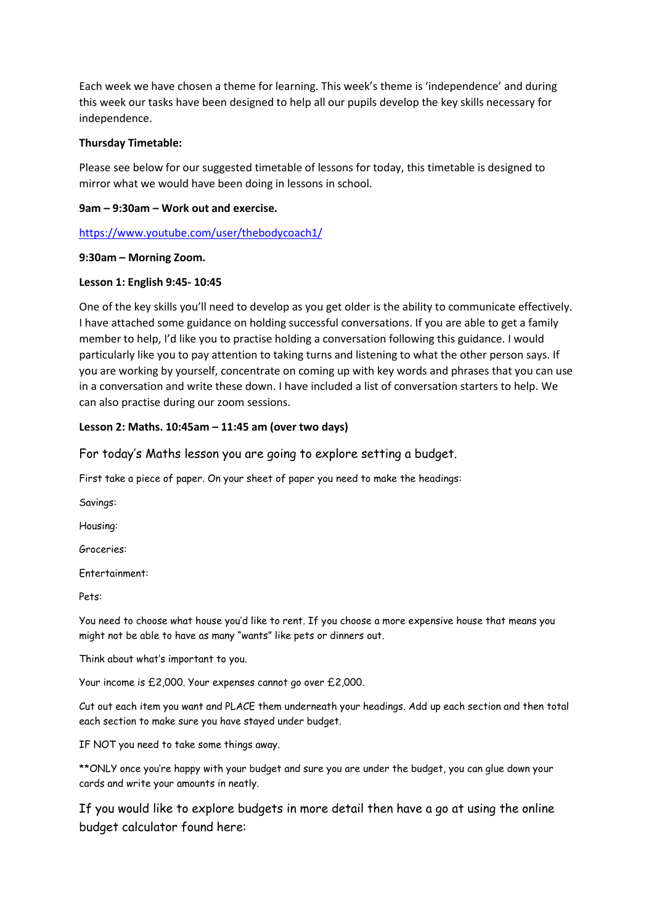Each week we have chosen a theme for learning. This week's theme is 'independence' and during this week our tasks have been designed to help all our pupils develop the key skills necessary for independence.

#### **Thursday Timetable:**

Please see below for our suggested timetable of lessons for today, this timetable is designed to mirror what we would have been doing in lessons in school.

#### **9am – 9:30am – Work out and exercise.**

<https://www.youtube.com/user/thebodycoach1/>

# **9:30am – Morning Zoom.**

# **Lesson 1: English 9:45- 10:45**

One of the key skills you'll need to develop as you get older is the ability to communicate effectively. I have attached some guidance on holding successful conversations. If you are able to get a family member to help, I'd like you to practise holding a conversation following this guidance. I would particularly like you to pay attention to taking turns and listening to what the other person says. If you are working by yourself, concentrate on coming up with key words and phrases that you can use in a conversation and write these down. I have included a list of conversation starters to help. We can also practise during our zoom sessions.

# **Lesson 2: Maths. 10:45am – 11:45 am (over two days)**

For today's Maths lesson you are going to explore setting a budget.

First take a piece of paper. On your sheet of paper you need to make the headings:

Savings:

Housing:

Groceries:

Entertainment:

Pets:

You need to choose what house you'd like to rent. If you choose a more expensive house that means you might not be able to have as many "wants" like pets or dinners out.

Think about what's important to you.

Your income is £2,000. Your expenses cannot go over £2,000.

Cut out each item you want and PLACE them underneath your headings. Add up each section and then total each section to make sure you have stayed under budget.

IF NOT you need to take some things away.

\*\*ONLY once you're happy with your budget and sure you are under the budget, you can glue down your cards and write your amounts in neatly.

If you would like to explore budgets in more detail then have a go at using the online budget calculator found here: